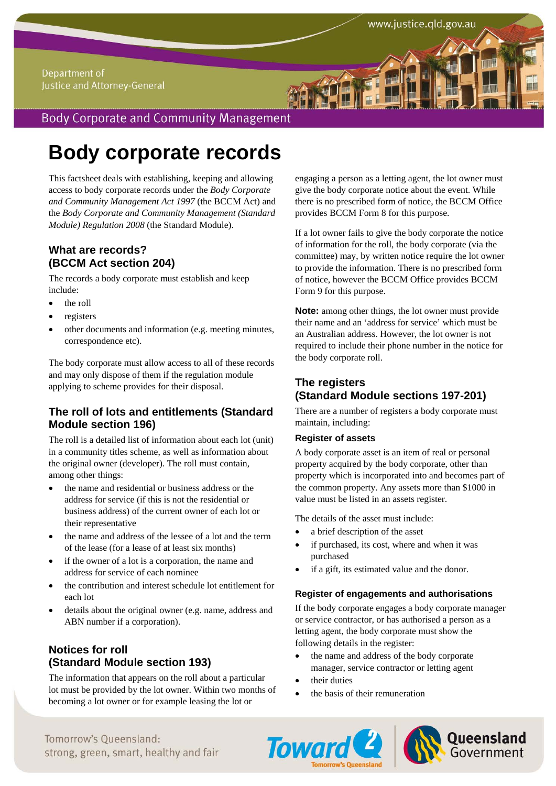### Department of Justice and Attorney-General

## **Body Corporate and Community Management**

# **Body corporate records**

This factsheet deals with establishing, keeping and allowing access to body corporate records under the *Body Corporate and Community Management Act 1997* (the BCCM Act) and the *Body Corporate and Community Management (Standard Module) Regulation 2008* (the Standard Module).

## **What are records? (BCCM Act section 204)**

The records a body corporate must establish and keep include:

- the roll
- registers
- other documents and information (e.g. meeting minutes, correspondence etc).

The body corporate must allow access to all of these records and may only dispose of them if the regulation module applying to scheme provides for their disposal.

## **The roll of lots and entitlements (Standard Module section 196)**

The roll is a detailed list of information about each lot (unit) in a community titles scheme, as well as information about the original owner (developer). The roll must contain, among other things:

- the name and residential or business address or the address for service (if this is not the residential or business address) of the current owner of each lot or their representative
- the name and address of the lessee of a lot and the term of the lease (for a lease of at least six months)
- if the owner of a lot is a corporation, the name and address for service of each nominee
- the contribution and interest schedule lot entitlement for each lot
- details about the original owner (e.g. name, address and ABN number if a corporation).

## **Notices for roll (Standard Module section 193)**

The information that appears on the roll about a particular lot must be provided by the lot owner. Within two months of becoming a lot owner or for example leasing the lot or

engaging a person as a letting agent, the lot owner must give the body corporate notice about the event. While there is no prescribed form of notice, the BCCM Office provides BCCM Form 8 for this purpose.

If a lot owner fails to give the body corporate the notice of information for the roll, the body corporate (via the committee) may, by written notice require the lot owner to provide the information. There is no prescribed form of notice, however the BCCM Office provides BCCM Form 9 for this purpose.

**Note:** among other things, the lot owner must provide their name and an 'address for service' which must be an Australian address. However, the lot owner is not required to include their phone number in the notice for the body corporate roll.

## **The registers (Standard Module sections 197-201)**

There are a number of registers a body corporate must maintain, including:

#### **Register of assets**

A body corporate asset is an item of real or personal property acquired by the body corporate, other than property which is incorporated into and becomes part of the common property. Any assets more than \$1000 in value must be listed in an assets register.

The details of the asset must include:

- a brief description of the asset
- if purchased, its cost, where and when it was purchased
- if a gift, its estimated value and the donor.

#### **Register of engagements and authorisations**

If the body corporate engages a body corporate manager or service contractor, or has authorised a person as a letting agent, the body corporate must show the following details in the register:

- the name and address of the body corporate manager, service contractor or letting agent
- their duties
- the basis of their remuneration





## Tomorrow's Queensland: strong, green, smart, healthy and fair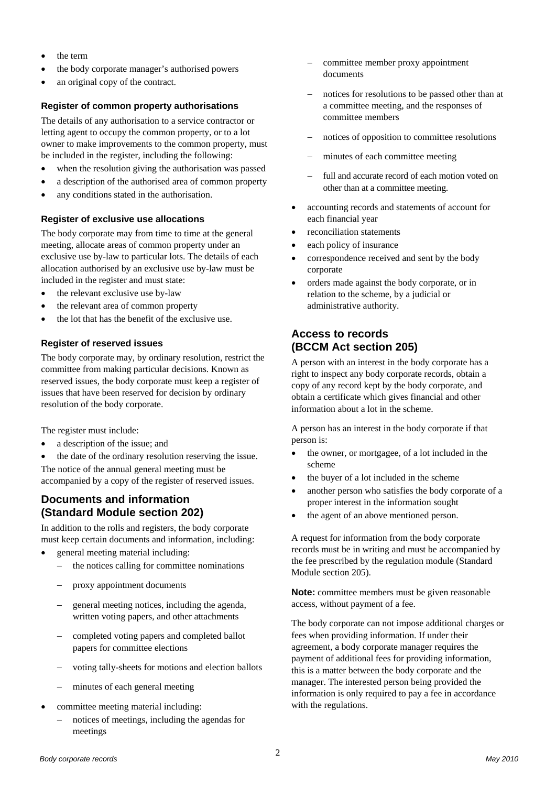- the term
- the body corporate manager's authorised powers
- an original copy of the contract.

#### **Register of common property authorisations**

The details of any authorisation to a service contractor or letting agent to occupy the common property, or to a lot owner to make improvements to the common property, must be included in the register, including the following:

- when the resolution giving the authorisation was passed
- a description of the authorised area of common property
- any conditions stated in the authorisation.

#### **Register of exclusive use allocations**

The body corporate may from time to time at the general meeting, allocate areas of common property under an exclusive use by-law to particular lots. The details of each allocation authorised by an exclusive use by-law must be included in the register and must state:

- the relevant exclusive use by-law
- the relevant area of common property
- the lot that has the benefit of the exclusive use.

#### **Register of reserved issues**

The body corporate may, by ordinary resolution, restrict the committee from making particular decisions. Known as reserved issues, the body corporate must keep a register of issues that have been reserved for decision by ordinary resolution of the body corporate.

The register must include:

- a description of the issue; and
- the date of the ordinary resolution reserving the issue.

The notice of the annual general meeting must be accompanied by a copy of the register of reserved issues.

## **Documents and information (Standard Module section 202)**

In addition to the rolls and registers, the body corporate must keep certain documents and information, including:

- general meeting material including:
	- the notices calling for committee nominations
	- proxy appointment documents
	- general meeting notices, including the agenda, written voting papers, and other attachments
	- completed voting papers and completed ballot papers for committee elections
	- voting tally-sheets for motions and election ballots
	- minutes of each general meeting
- committee meeting material including:
	- notices of meetings, including the agendas for meetings
- committee member proxy appointment documents
- notices for resolutions to be passed other than at a committee meeting, and the responses of committee members
- notices of opposition to committee resolutions
- minutes of each committee meeting
- full and accurate record of each motion voted on other than at a committee meeting.
- accounting records and statements of account for each financial year
- reconciliation statements
- each policy of insurance
- correspondence received and sent by the body corporate
- orders made against the body corporate, or in relation to the scheme, by a judicial or administrative authority.

## **Access to records (BCCM Act section 205)**

A person with an interest in the body corporate has a right to inspect any body corporate records, obtain a copy of any record kept by the body corporate, and obtain a certificate which gives financial and other information about a lot in the scheme.

A person has an interest in the body corporate if that person is:

- the owner, or mortgagee, of a lot included in the scheme
- the buyer of a lot included in the scheme
- another person who satisfies the body corporate of a proper interest in the information sought
- the agent of an above mentioned person.

A request for information from the body corporate records must be in writing and must be accompanied by the fee prescribed by the regulation module (Standard Module section 205).

**Note:** committee members must be given reasonable access, without payment of a fee.

The body corporate can not impose additional charges or fees when providing information. If under their agreement, a body corporate manager requires the payment of additional fees for providing information, this is a matter between the body corporate and the manager. The interested person being provided the information is only required to pay a fee in accordance with the regulations.